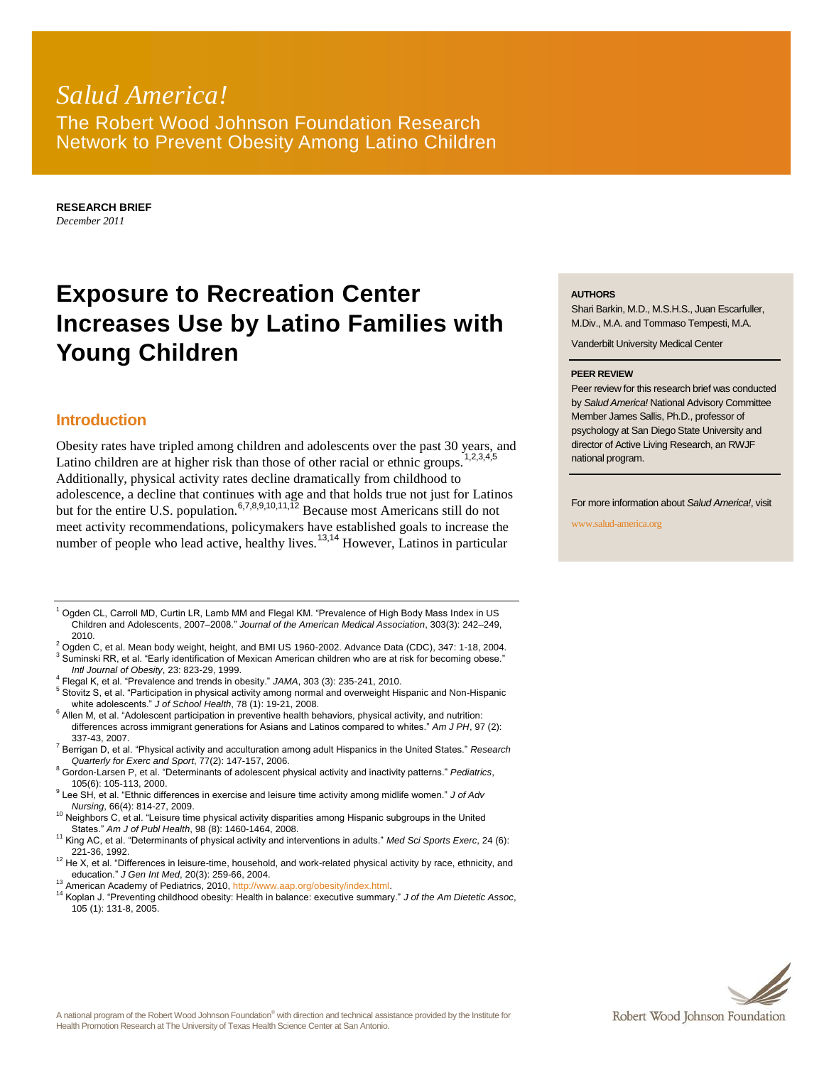## *Salud America!* The Robert Wood Johnson Foundation Research Network to Prevent Obesity Among Latino Children

**RESEARCH BRIEF** *December 2011*

# **Exposure to Recreation Center Increases Use by Latino Families with Young Children**

### **Introduction**

Obesity rates have tripled among children and adolescents over the past 30 years, and Latino children are at higher risk than those of other racial or ethnic groups.<sup>1,2,3,4,5</sup> Additionally, physical activity rates decline dramatically from childhood to adolescence, a decline that continues with age and that holds true not just for Latinos but for the entire U.S. population.<sup>6,7,8,9,10,11,12</sup> Because most Americans still do not meet activity recommendations, policymakers have established goals to increase the number of people who lead active, healthy lives.<sup>13,14</sup> However, Latinos in particular

 $1$  Ogden CL, Carroll MD, Curtin LR, Lamb MM and Flegal KM. "Prevalence of High Body Mass Index in US Children and Adolescents, 2007–2008." *Journal of the American Medical Association*, 303(3): 242–249, 2010.

<sup>2</sup> Ogden C, et al. Mean body weight, height, and BMI US 1960-2002. Advance Data (CDC), 347: 1-18, 2004.

 $3$  Suminski RR, et al. "Early identification of Mexican American children who are at risk for becoming obese." *Intl Journal of Obesity*, 23: 823-29, 1999.

4 Flegal K, et al. "Prevalence and trends in obesity." *JAMA*, 303 (3): 235-241, 2010.

<sup>5</sup> Stovitz S, et al. "Participation in physical activity among normal and overweight Hispanic and Non-Hispanic white adolescents." *J of School Health*, 78 (1): 19-21, 2008.

 $6$  Allen M, et al. "Adolescent participation in preventive health behaviors, physical activity, and nutrition: differences across immigrant generations for Asians and Latinos compared to whites." *Am J PH*, 97 (2): 337-43, 2007.

<sup>7</sup> Berrigan D, et al. "Physical activity and acculturation among adult Hispanics in the United States." *Research Quarterly for Exerc and Sport*, 77(2): 147-157, 2006.

<sup>8</sup> Gordon-Larsen P, et al. "Determinants of adolescent physical activity and inactivity patterns." *Pediatrics*, 105(6): 105-113, 2000.

9 Lee SH, et al. "Ethnic differences in exercise and leisure time activity among midlife women." *J of Adv Nursing*, 66(4): 814-27, 2009.

<sup>10</sup> Neighbors C, et al. "Leisure time physical activity disparities among Hispanic subgroups in the United States." *Am J of Publ Health*, 98 (8): 1460-1464, 2008.

<sup>11</sup> King AC, et al. "Determinants of physical activity and interventions in adults." *Med Sci Sports Exerc*, 24 (6): 221-36, 1992.

 $12$  He X, et al. "Differences in leisure-time, household, and work-related physical activity by race, ethnicity, and education." *J Gen Int Med*, 20(3): 259-66, 2004.

<sup>13</sup> American Academy of Pediatrics, 2010[, http://www.aap.org/obesity/index.html.](http://www.aap.org/obesity/index.html)

<sup>14</sup> Koplan J. "Preventing childhood obesity: Health in balance: executive summary." *J of the Am Dietetic Assoc*, 105 (1): 131-8, 2005.

#### **AUTHORS**

Shari Barkin, M.D., M.S.H.S., Juan Escarfuller, M.Div., M.A. and Tommaso Tempesti, M.A.

Vanderbilt University Medical Center

#### **PEER REVIEW**

Peer review for this research brief was conducted by *Salud America!* National Advisory Committee Member James Sallis, Ph.D., professor of psychology at San Diego State University and director of Active Living Research, an RWJF national program.

For more information about *Salud America!*, visit

www.salud-america.org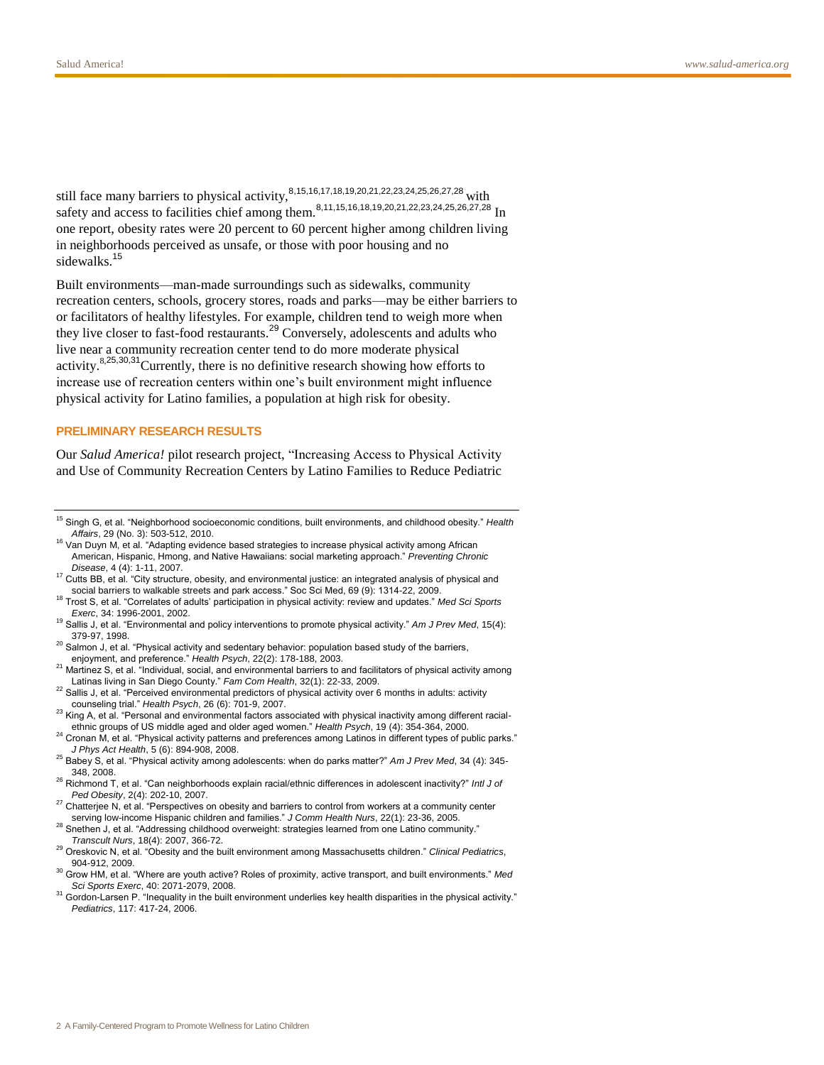still face many barriers to physical activity,<sup>8,15,16,17,18,19,20,21,22,23,24,25,26,27,28</sup> with safety and access to facilities chief among them.<sup>8,11,15,16,18,19,20,21,22,23,24,25,26,27,28</sup> In one report, obesity rates were 20 percent to 60 percent higher among children living in neighborhoods perceived as unsafe, or those with poor housing and no sidewalks.<sup>15</sup>

Built environments—man-made surroundings such as sidewalks, community recreation centers, schools, grocery stores, roads and parks—may be either barriers to or facilitators of healthy lifestyles. For example, children tend to weigh more when they live closer to fast-food restaurants.<sup>29</sup> Conversely, adolescents and adults who live near a community recreation center tend to do more moderate physical activity.8,25,30,31Currently, there is no definitive research showing how efforts to increase use of recreation centers within one's built environment might influence physical activity for Latino families, a population at high risk for obesity.

#### **PRELIMINARY RESEARCH RESULTS**

Our *Salud America!* pilot research project, "Increasing Access to Physical Activity and Use of Community Recreation Centers by Latino Families to Reduce Pediatric

<sup>15</sup> Singh G, et al. "Neighborhood socioeconomic conditions, built environments, and childhood obesity." *Health Affairs*, 29 (No. 3): 503-512, 2010.

<sup>&</sup>lt;sup>16</sup> Van Duyn M, et al. "Adapting evidence based strategies to increase physical activity among African American, Hispanic, Hmong, and Native Hawaiians: social marketing approach." *Preventing Chronic Disease*, 4 (4): 1-11, 2007.

 $17$  Cutts BB, et al. "City structure, obesity, and environmental justice: an integrated analysis of physical and social barriers to walkable streets and park access." Soc Sci Med, 69 (9): 1314-22, 2009.

<sup>18</sup> Trost S, et al. "Correlates of adults' participation in physical activity: review and updates." *Med Sci Sports Exerc*, 34: 1996-2001, 2002.

<sup>19</sup> Sallis J, et al. "Environmental and policy interventions to promote physical activity." *Am J Prev Med*, 15(4): 379-97, 1998.

 $20$  Salmon J, et al. "Physical activity and sedentary behavior: population based study of the barriers, enjoyment, and preference." *Health Psych*, 22(2): 178-188, 2003.

<sup>&</sup>lt;sup>21</sup> Martinez S, et al. "Individual, social, and environmental barriers to and facilitators of physical activity among Latinas living in San Diego County." *Fam Com Health*, 32(1): 22-33, 2009.

 $^{22}$  Sallis J, et al. "Perceived environmental predictors of physical activity over 6 months in adults: activity counseling trial." *Health Psych*, 26 (6): 701-9, 2007.

<sup>&</sup>lt;sup>23</sup> King A, et al. "Personal and environmental factors associated with physical inactivity among different racialethnic groups of US middle aged and older aged women." *Health Psych*, 19 (4): 354-364, 2000.

<sup>&</sup>lt;sup>24</sup> Cronan M, et al. "Physical activity patterns and preferences among Latinos in different types of public parks." *J Phys Act Health*, 5 (6): 894-908, 2008.

<sup>25</sup> Babey S, et al. "Physical activity among adolescents: when do parks matter?" *Am J Prev Med*, 34 (4): 345- 348, 2008.

<sup>26</sup> Richmond T, et al. "Can neighborhoods explain racial/ethnic differences in adolescent inactivity?" *Intl J of Ped Obesity*, 2(4): 202-10, 2007.

<sup>&</sup>lt;sup>27</sup> Chatterjee N, et al. "Perspectives on obesity and barriers to control from workers at a community center serving low-income Hispanic children and families." *J Comm Health Nurs*, 22(1): 23-36, 2005.

<sup>&</sup>lt;sup>28</sup> Snethen J, et al. "Addressing childhood overweight: strategies learned from one Latino community." *Transcult Nurs*, 18(4): 2007, 366-72.

<sup>29</sup> Oreskovic N, et al. "Obesity and the built environment among Massachusetts children." *Clinical Pediatrics*, 904-912, 2009.

<sup>30</sup> Grow HM, et al. "Where are youth active? Roles of proximity, active transport, and built environments." *Med Sci Sports Exerc*, 40: 2071-2079, 2008.

<sup>&</sup>lt;sup>31</sup> Gordon-Larsen P. "Inequality in the built environment underlies key health disparities in the physical activity." *Pediatrics*, 117: 417-24, 2006.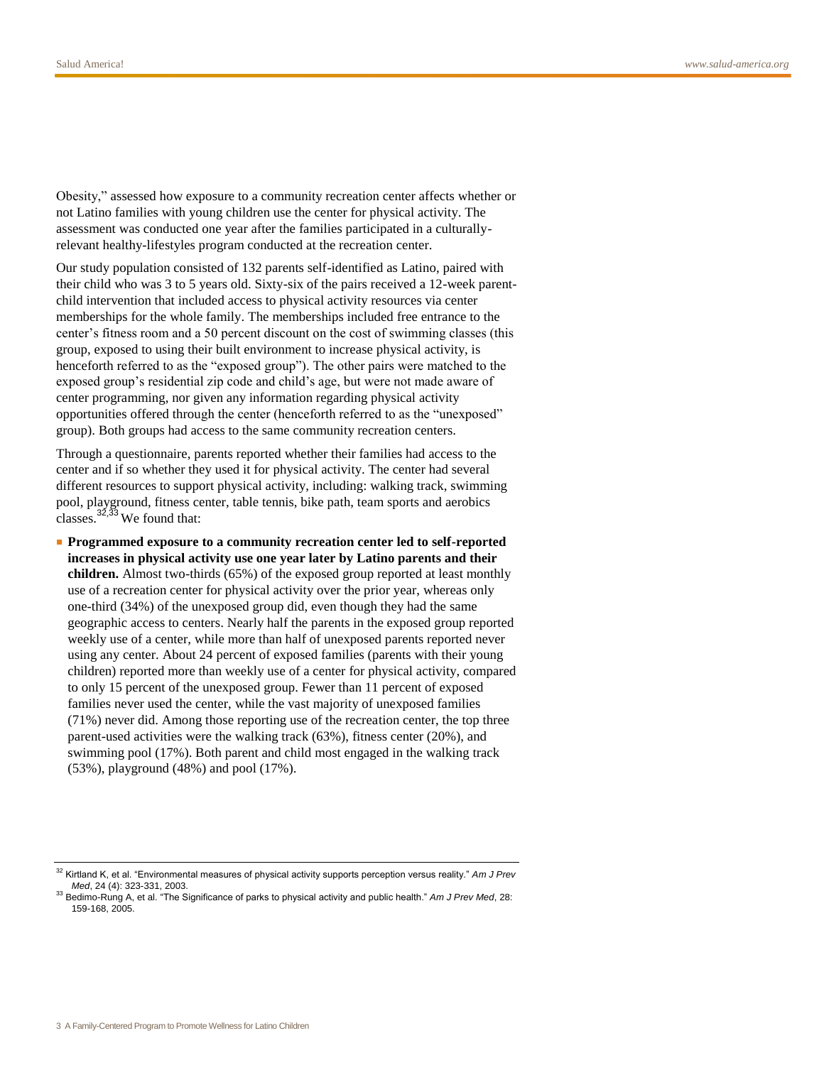Obesity," assessed how exposure to a community recreation center affects whether or not Latino families with young children use the center for physical activity. The assessment was conducted one year after the families participated in a culturallyrelevant healthy-lifestyles program conducted at the recreation center.

Our study population consisted of 132 parents self-identified as Latino, paired with their child who was 3 to 5 years old. Sixty-six of the pairs received a 12-week parentchild intervention that included access to physical activity resources via center memberships for the whole family. The memberships included free entrance to the center's fitness room and a 50 percent discount on the cost of swimming classes (this group, exposed to using their built environment to increase physical activity, is henceforth referred to as the "exposed group"). The other pairs were matched to the exposed group's residential zip code and child's age, but were not made aware of center programming, nor given any information regarding physical activity opportunities offered through the center (henceforth referred to as the "unexposed" group). Both groups had access to the same community recreation centers.

Through a questionnaire, parents reported whether their families had access to the center and if so whether they used it for physical activity. The center had several different resources to support physical activity, including: walking track, swimming pool, playground, fitness center, table tennis, bike path, team sports and aerobics classes.  $32,33$  We found that:

■ **Programmed exposure to a community recreation center led to self-reported increases in physical activity use one year later by Latino parents and their children.** Almost two-thirds (65%) of the exposed group reported at least monthly use of a recreation center for physical activity over the prior year, whereas only one-third (34%) of the unexposed group did, even though they had the same geographic access to centers. Nearly half the parents in the exposed group reported weekly use of a center, while more than half of unexposed parents reported never using any center. About 24 percent of exposed families (parents with their young children) reported more than weekly use of a center for physical activity, compared to only 15 percent of the unexposed group. Fewer than 11 percent of exposed families never used the center, while the vast majority of unexposed families (71%) never did. Among those reporting use of the recreation center, the top three parent-used activities were the walking track (63%), fitness center (20%), and swimming pool (17%). Both parent and child most engaged in the walking track (53%), playground (48%) and pool (17%).

<sup>32</sup> Kirtland K, et al. "Environmental measures of physical activity supports perception versus reality." *Am J Prev Med*, 24 (4): 323-331, 2003.

<sup>33</sup> Bedimo-Rung A, et al. "The Significance of parks to physical activity and public health." *Am J Prev Med*, 28: 159-168, 2005.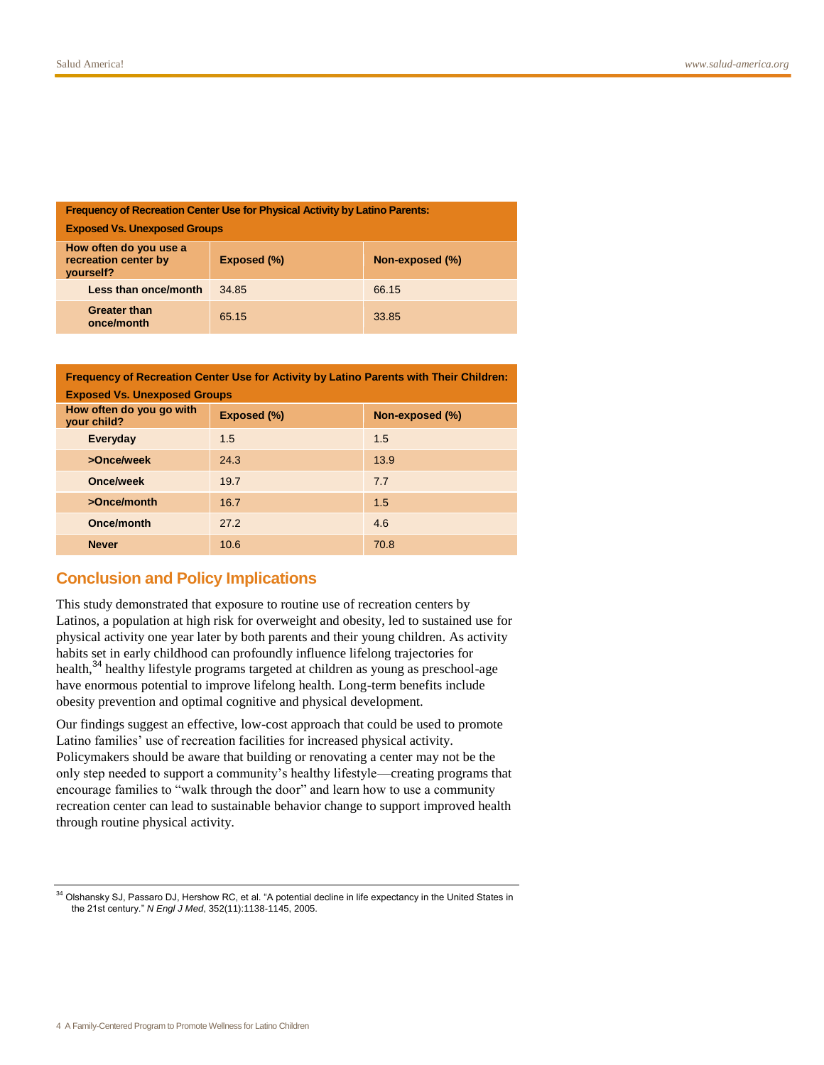| <b>Frequency of Recreation Center Use for Physical Activity by Latino Parents:</b> |             |                 |  |
|------------------------------------------------------------------------------------|-------------|-----------------|--|
| <b>Exposed Vs. Unexposed Groups</b>                                                |             |                 |  |
| How often do you use a<br>recreation center by<br>vourself?                        | Exposed (%) | Non-exposed (%) |  |
| Less than once/month                                                               | 34.85       | 66.15           |  |
| <b>Greater than</b><br>once/month                                                  | 65.15       | 33.85           |  |

| Frequency of Recreation Center Use for Activity by Latino Parents with Their Children: |             |                 |  |
|----------------------------------------------------------------------------------------|-------------|-----------------|--|
| <b>Exposed Vs. Unexposed Groups</b>                                                    |             |                 |  |
| How often do you go with<br>your child?                                                | Exposed (%) | Non-exposed (%) |  |
| Everyday                                                                               | 1.5         | 1.5             |  |
| >Once/week                                                                             | 24.3        | 13.9            |  |
| Once/week                                                                              | 19.7        | 7.7             |  |
| >Once/month                                                                            | 16.7        | 1.5             |  |
| Once/month                                                                             | 27.2        | 4.6             |  |
| <b>Never</b>                                                                           | 10.6        | 70.8            |  |

## **Conclusion and Policy Implications**

This study demonstrated that exposure to routine use of recreation centers by Latinos, a population at high risk for overweight and obesity, led to sustained use for physical activity one year later by both parents and their young children. As activity habits set in early childhood can profoundly influence lifelong trajectories for health,<sup>34</sup> healthy lifestyle programs targeted at children as young as preschool-age have enormous potential to improve lifelong health. Long-term benefits include obesity prevention and optimal cognitive and physical development.

Our findings suggest an effective, low-cost approach that could be used to promote Latino families' use of recreation facilities for increased physical activity. Policymakers should be aware that building or renovating a center may not be the only step needed to support a community's healthy lifestyle—creating programs that encourage families to "walk through the door" and learn how to use a community recreation center can lead to sustainable behavior change to support improved health through routine physical activity.

<sup>&</sup>lt;sup>34</sup> Olshansky SJ, Passaro DJ, Hershow RC, et al. "A potential decline in life expectancy in the United States in the 21st century." *N Engl J Med*, 352(11):1138-1145, 2005.